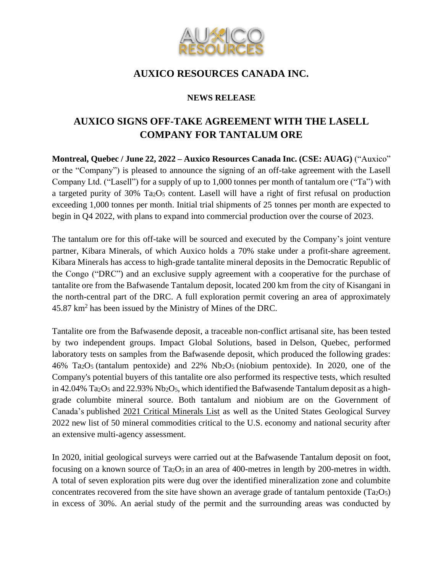

## **AUXICO RESOURCES CANADA INC.**

## **NEWS RELEASE**

# **AUXICO SIGNS OFF-TAKE AGREEMENT WITH THE LASELL COMPANY FOR TANTALUM ORE**

**Montreal, Quebec / June 22, 2022 – Auxico Resources Canada Inc. (CSE: AUAG)** ("Auxico" or the "Company") is pleased to announce the signing of an off-take agreement with the Lasell Company Ltd. ("Lasell") for a supply of up to 1,000 tonnes per month of tantalum ore ("Ta") with a targeted purity of 30% Ta<sub>2</sub>O<sub>5</sub> content. Lasell will have a right of first refusal on production exceeding 1,000 tonnes per month. Initial trial shipments of 25 tonnes per month are expected to begin in Q4 2022, with plans to expand into commercial production over the course of 2023.

The tantalum ore for this off-take will be sourced and executed by the Company's joint venture partner, Kibara Minerals, of which Auxico holds a 70% stake under a profit-share agreement. Kibara Minerals has access to high-grade tantalite mineral deposits in the Democratic Republic of the Congo ("DRC") and an exclusive supply agreement with a cooperative for the purchase of tantalite ore from the Bafwasende Tantalum deposit, located 200 km from the city of Kisangani in the north-central part of the DRC. A full exploration permit covering an area of approximately 45.87 km<sup>2</sup> has been issued by the Ministry of Mines of the DRC.

Tantalite ore from the Bafwasende deposit, a traceable non-conflict artisanal site, has been tested by two independent groups. Impact Global Solutions, based in Delson, Quebec, performed laboratory tests on samples from the Bafwasende deposit, which produced the following grades:  $46\%$  Ta<sub>2</sub>O<sub>5</sub> (tantalum pentoxide) and 22% Nb<sub>2</sub>O<sub>5</sub> (niobium pentoxide). In 2020, one of the Company's potential buyers of this tantalite ore also performed its respective tests, which resulted in  $42.04\%$  Ta<sub>2</sub>O<sub>5</sub> and  $22.93\%$  Nb<sub>2</sub>O<sub>5</sub>, which identified the Bafwasende Tantalum deposit as a highgrade columbite mineral source. Both tantalum and niobium are on the Government of Canada's published [2021 Critical Minerals List](https://www.nrcan.gc.ca/criticalminerals) as well as the United States Geological Survey 2022 new list of 50 mineral commodities critical to the U.S. economy and national security after an extensive multi-agency assessment.

In 2020, initial geological surveys were carried out at the Bafwasende Tantalum deposit on foot, focusing on a known source of  $Ta_2O_5$  in an area of 400-metres in length by 200-metres in width. A total of seven exploration pits were dug over the identified mineralization zone and columbite concentrates recovered from the site have shown an average grade of tantalum pentoxide (Ta2O5) in excess of 30%. An aerial study of the permit and the surrounding areas was conducted by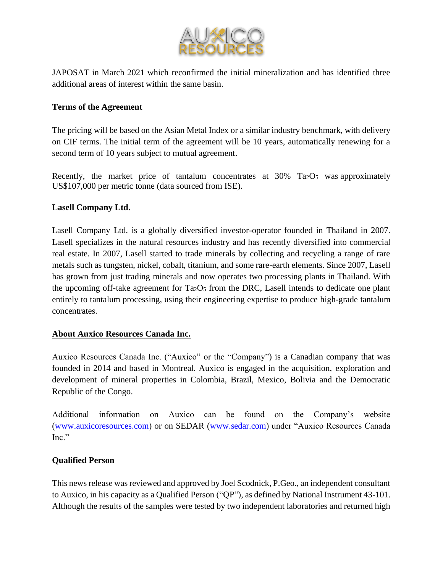

JAPOSAT in March 2021 which reconfirmed the initial mineralization and has identified three additional areas of interest within the same basin.

## **Terms of the Agreement**

The pricing will be based on the Asian Metal Index or a similar industry benchmark, with delivery on CIF terms. The initial term of the agreement will be 10 years, automatically renewing for a second term of 10 years subject to mutual agreement.

Recently, the market price of tantalum concentrates at  $30\%$  Ta<sub>2</sub>O<sub>5</sub> was approximately US\$107,000 per metric tonne (data sourced from ISE).

#### **Lasell Company Ltd.**

Lasell Company Ltd. is a globally diversified investor-operator founded in Thailand in 2007. Lasell specializes in the natural resources industry and has recently diversified into commercial real estate. In 2007, Lasell started to trade minerals by collecting and recycling a range of rare metals such as tungsten, nickel, cobalt, titanium, and some rare-earth elements. Since 2007, Lasell has grown from just trading minerals and now operates two processing plants in Thailand. With the upcoming off-take agreement for  $Ta2O<sub>5</sub>$  from the DRC, Lasell intends to dedicate one plant entirely to tantalum processing, using their engineering expertise to produce high-grade tantalum concentrates.

#### **About Auxico Resources Canada Inc.**

Auxico Resources Canada Inc. ("Auxico" or the "Company") is a Canadian company that was founded in 2014 and based in Montreal. Auxico is engaged in the acquisition, exploration and development of mineral properties in Colombia, Brazil, Mexico, Bolivia and the Democratic Republic of the Congo.

Additional information on Auxico can be found on the Company's website (www.auxicoresources.com) or on SEDAR (www.sedar.com) under "Auxico Resources Canada Inc."

## **Qualified Person**

This news release was reviewed and approved by Joel Scodnick, P.Geo., an independent consultant to Auxico, in his capacity as a Qualified Person ("QP"), as defined by National Instrument 43-101. Although the results of the samples were tested by two independent laboratories and returned high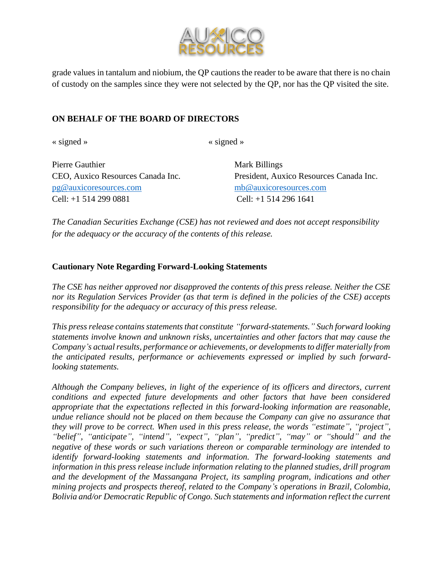

grade values in tantalum and niobium, the QP cautions the reader to be aware that there is no chain of custody on the samples since they were not selected by the QP, nor has the QP visited the site.

### **ON BEHALF OF THE BOARD OF DIRECTORS**

« signed » « signed »

Pierre Gauthier Mark Billings [pg@auxicoresources.com](mailto:pg@auxicoresources.com) [mb@auxicoresources.com](mailto:mb@auxicoresources.com) Cell: +1 514 299 0881 Cell: +1 514 296 1641

CEO, Auxico Resources Canada Inc. President, Auxico Resources Canada Inc.

*The Canadian Securities Exchange (CSE) has not reviewed and does not accept responsibility for the adequacy or the accuracy of the contents of this release.*

#### **Cautionary Note Regarding Forward-Looking Statements**

*The CSE has neither approved nor disapproved the contents of this press release. Neither the CSE nor its Regulation Services Provider (as that term is defined in the policies of the CSE) accepts responsibility for the adequacy or accuracy of this press release.* 

*This press release contains statements that constitute "forward-statements." Such forward looking statements involve known and unknown risks, uncertainties and other factors that may cause the Company's actual results, performance or achievements, or developments to differ materially from the anticipated results, performance or achievements expressed or implied by such forwardlooking statements.* 

*Although the Company believes, in light of the experience of its officers and directors, current conditions and expected future developments and other factors that have been considered appropriate that the expectations reflected in this forward-looking information are reasonable, undue reliance should not be placed on them because the Company can give no assurance that they will prove to be correct. When used in this press release, the words "estimate", "project", "belief", "anticipate", "intend", "expect", "plan", "predict", "may" or "should" and the negative of these words or such variations thereon or comparable terminology are intended to identify forward-looking statements and information. The forward-looking statements and information in this press release include information relating to the planned studies, drill program and the development of the Massangana Project, its sampling program, indications and other mining projects and prospects thereof, related to the Company's operations in Brazil, Colombia, Bolivia and/or Democratic Republic of Congo. Such statements and information reflect the current*